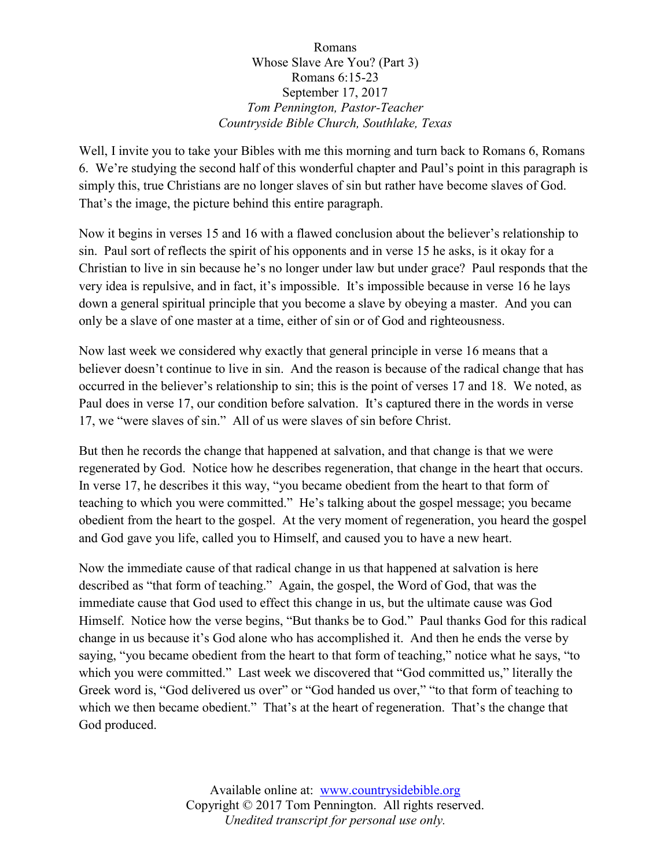## Romans Whose Slave Are You? (Part 3) Romans 6:15-23 September 17, 2017 *Tom Pennington, Pastor-Teacher Countryside Bible Church, Southlake, Texas*

Well, I invite you to take your Bibles with me this morning and turn back to Romans 6, Romans 6. We're studying the second half of this wonderful chapter and Paul's point in this paragraph is simply this, true Christians are no longer slaves of sin but rather have become slaves of God. That's the image, the picture behind this entire paragraph.

Now it begins in verses 15 and 16 with a flawed conclusion about the believer's relationship to sin. Paul sort of reflects the spirit of his opponents and in verse 15 he asks, is it okay for a Christian to live in sin because he's no longer under law but under grace? Paul responds that the very idea is repulsive, and in fact, it's impossible. It's impossible because in verse 16 he lays down a general spiritual principle that you become a slave by obeying a master. And you can only be a slave of one master at a time, either of sin or of God and righteousness.

Now last week we considered why exactly that general principle in verse 16 means that a believer doesn't continue to live in sin. And the reason is because of the radical change that has occurred in the believer's relationship to sin; this is the point of verses 17 and 18. We noted, as Paul does in verse 17, our condition before salvation. It's captured there in the words in verse 17, we "were slaves of sin." All of us were slaves of sin before Christ.

But then he records the change that happened at salvation, and that change is that we were regenerated by God. Notice how he describes regeneration, that change in the heart that occurs. In verse 17, he describes it this way, "you became obedient from the heart to that form of teaching to which you were committed." He's talking about the gospel message; you became obedient from the heart to the gospel. At the very moment of regeneration, you heard the gospel and God gave you life, called you to Himself, and caused you to have a new heart.

Now the immediate cause of that radical change in us that happened at salvation is here described as "that form of teaching." Again, the gospel, the Word of God, that was the immediate cause that God used to effect this change in us, but the ultimate cause was God Himself. Notice how the verse begins, "But thanks be to God." Paul thanks God for this radical change in us because it's God alone who has accomplished it. And then he ends the verse by saying, "you became obedient from the heart to that form of teaching," notice what he says, "to which you were committed." Last week we discovered that "God committed us," literally the Greek word is, "God delivered us over" or "God handed us over," "to that form of teaching to which we then became obedient." That's at the heart of regeneration. That's the change that God produced.

> Available online at: [www.countrysidebible.org](http://www.countrysidebible.org/) Copyright © 2017 Tom Pennington. All rights reserved. *Unedited transcript for personal use only.*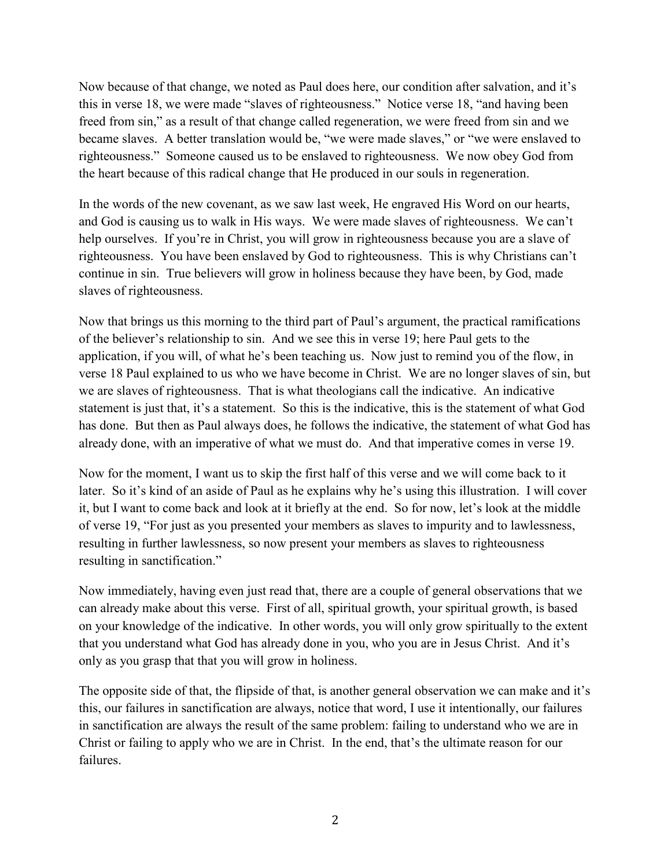Now because of that change, we noted as Paul does here, our condition after salvation, and it's this in verse 18, we were made "slaves of righteousness." Notice verse 18, "and having been freed from sin," as a result of that change called regeneration, we were freed from sin and we became slaves. A better translation would be, "we were made slaves," or "we were enslaved to righteousness." Someone caused us to be enslaved to righteousness. We now obey God from the heart because of this radical change that He produced in our souls in regeneration.

In the words of the new covenant, as we saw last week, He engraved His Word on our hearts, and God is causing us to walk in His ways. We were made slaves of righteousness. We can't help ourselves. If you're in Christ, you will grow in righteousness because you are a slave of righteousness. You have been enslaved by God to righteousness. This is why Christians can't continue in sin. True believers will grow in holiness because they have been, by God, made slaves of righteousness.

Now that brings us this morning to the third part of Paul's argument, the practical ramifications of the believer's relationship to sin. And we see this in verse 19; here Paul gets to the application, if you will, of what he's been teaching us. Now just to remind you of the flow, in verse 18 Paul explained to us who we have become in Christ. We are no longer slaves of sin, but we are slaves of righteousness. That is what theologians call the indicative. An indicative statement is just that, it's a statement. So this is the indicative, this is the statement of what God has done. But then as Paul always does, he follows the indicative, the statement of what God has already done, with an imperative of what we must do. And that imperative comes in verse 19.

Now for the moment, I want us to skip the first half of this verse and we will come back to it later. So it's kind of an aside of Paul as he explains why he's using this illustration. I will cover it, but I want to come back and look at it briefly at the end. So for now, let's look at the middle of verse 19, "For just as you presented your members as slaves to impurity and to lawlessness, resulting in further lawlessness, so now present your members as slaves to righteousness resulting in sanctification."

Now immediately, having even just read that, there are a couple of general observations that we can already make about this verse. First of all, spiritual growth, your spiritual growth, is based on your knowledge of the indicative. In other words, you will only grow spiritually to the extent that you understand what God has already done in you, who you are in Jesus Christ. And it's only as you grasp that that you will grow in holiness.

The opposite side of that, the flipside of that, is another general observation we can make and it's this, our failures in sanctification are always, notice that word, I use it intentionally, our failures in sanctification are always the result of the same problem: failing to understand who we are in Christ or failing to apply who we are in Christ. In the end, that's the ultimate reason for our failures.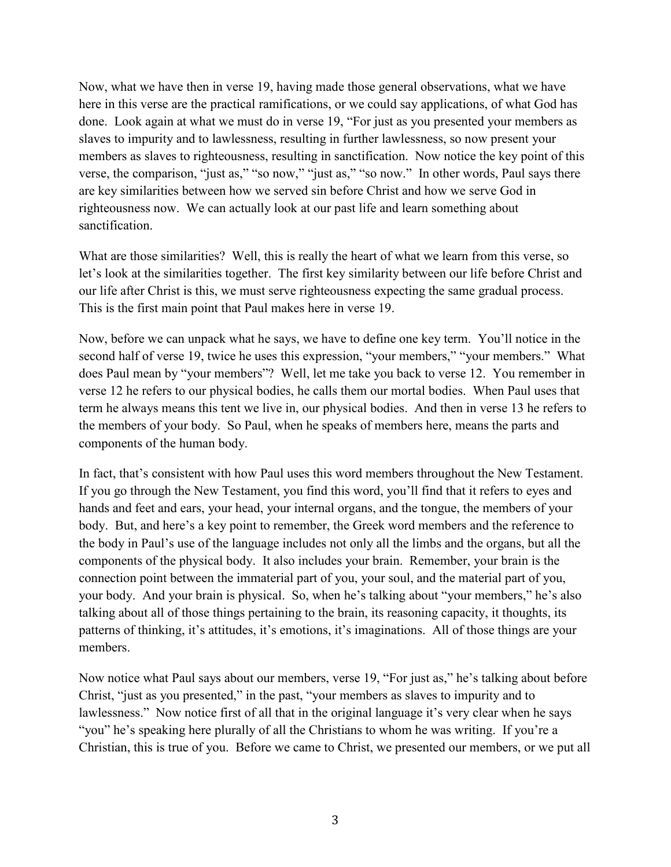Now, what we have then in verse 19, having made those general observations, what we have here in this verse are the practical ramifications, or we could say applications, of what God has done. Look again at what we must do in verse 19, "For just as you presented your members as slaves to impurity and to lawlessness, resulting in further lawlessness, so now present your members as slaves to righteousness, resulting in sanctification. Now notice the key point of this verse, the comparison, "just as," "so now," "just as," "so now." In other words, Paul says there are key similarities between how we served sin before Christ and how we serve God in righteousness now. We can actually look at our past life and learn something about sanctification.

What are those similarities? Well, this is really the heart of what we learn from this verse, so let's look at the similarities together. The first key similarity between our life before Christ and our life after Christ is this, we must serve righteousness expecting the same gradual process. This is the first main point that Paul makes here in verse 19.

Now, before we can unpack what he says, we have to define one key term. You'll notice in the second half of verse 19, twice he uses this expression, "your members," "your members." What does Paul mean by "your members"? Well, let me take you back to verse 12. You remember in verse 12 he refers to our physical bodies, he calls them our mortal bodies. When Paul uses that term he always means this tent we live in, our physical bodies. And then in verse 13 he refers to the members of your body. So Paul, when he speaks of members here, means the parts and components of the human body.

In fact, that's consistent with how Paul uses this word members throughout the New Testament. If you go through the New Testament, you find this word, you'll find that it refers to eyes and hands and feet and ears, your head, your internal organs, and the tongue, the members of your body. But, and here's a key point to remember, the Greek word members and the reference to the body in Paul's use of the language includes not only all the limbs and the organs, but all the components of the physical body. It also includes your brain. Remember, your brain is the connection point between the immaterial part of you, your soul, and the material part of you, your body. And your brain is physical. So, when he's talking about "your members," he's also talking about all of those things pertaining to the brain, its reasoning capacity, it thoughts, its patterns of thinking, it's attitudes, it's emotions, it's imaginations. All of those things are your members.

Now notice what Paul says about our members, verse 19, "For just as," he's talking about before Christ, "just as you presented," in the past, "your members as slaves to impurity and to lawlessness." Now notice first of all that in the original language it's very clear when he says "you" he's speaking here plurally of all the Christians to whom he was writing. If you're a Christian, this is true of you. Before we came to Christ, we presented our members, or we put all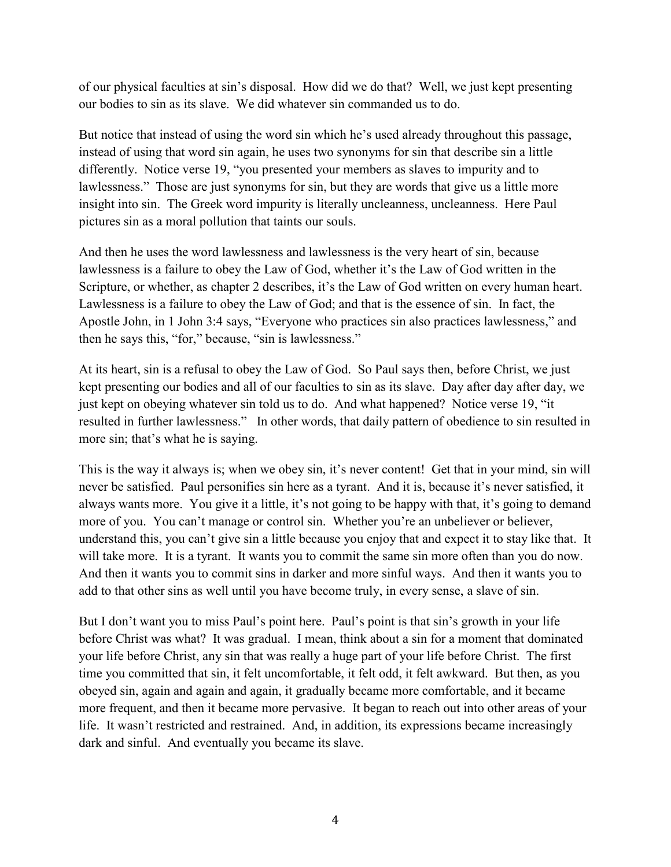of our physical faculties at sin's disposal. How did we do that? Well, we just kept presenting our bodies to sin as its slave. We did whatever sin commanded us to do.

But notice that instead of using the word sin which he's used already throughout this passage, instead of using that word sin again, he uses two synonyms for sin that describe sin a little differently. Notice verse 19, "you presented your members as slaves to impurity and to lawlessness." Those are just synonyms for sin, but they are words that give us a little more insight into sin. The Greek word impurity is literally uncleanness, uncleanness. Here Paul pictures sin as a moral pollution that taints our souls.

And then he uses the word lawlessness and lawlessness is the very heart of sin, because lawlessness is a failure to obey the Law of God, whether it's the Law of God written in the Scripture, or whether, as chapter 2 describes, it's the Law of God written on every human heart. Lawlessness is a failure to obey the Law of God; and that is the essence of sin. In fact, the Apostle John, in 1 John 3:4 says, "Everyone who practices sin also practices lawlessness," and then he says this, "for," because, "sin is lawlessness."

At its heart, sin is a refusal to obey the Law of God. So Paul says then, before Christ, we just kept presenting our bodies and all of our faculties to sin as its slave. Day after day after day, we just kept on obeying whatever sin told us to do. And what happened? Notice verse 19, "it resulted in further lawlessness." In other words, that daily pattern of obedience to sin resulted in more sin; that's what he is saying.

This is the way it always is; when we obey sin, it's never content! Get that in your mind, sin will never be satisfied. Paul personifies sin here as a tyrant. And it is, because it's never satisfied, it always wants more. You give it a little, it's not going to be happy with that, it's going to demand more of you. You can't manage or control sin. Whether you're an unbeliever or believer, understand this, you can't give sin a little because you enjoy that and expect it to stay like that. It will take more. It is a tyrant. It wants you to commit the same sin more often than you do now. And then it wants you to commit sins in darker and more sinful ways. And then it wants you to add to that other sins as well until you have become truly, in every sense, a slave of sin.

But I don't want you to miss Paul's point here. Paul's point is that sin's growth in your life before Christ was what? It was gradual. I mean, think about a sin for a moment that dominated your life before Christ, any sin that was really a huge part of your life before Christ. The first time you committed that sin, it felt uncomfortable, it felt odd, it felt awkward. But then, as you obeyed sin, again and again and again, it gradually became more comfortable, and it became more frequent, and then it became more pervasive. It began to reach out into other areas of your life. It wasn't restricted and restrained. And, in addition, its expressions became increasingly dark and sinful. And eventually you became its slave.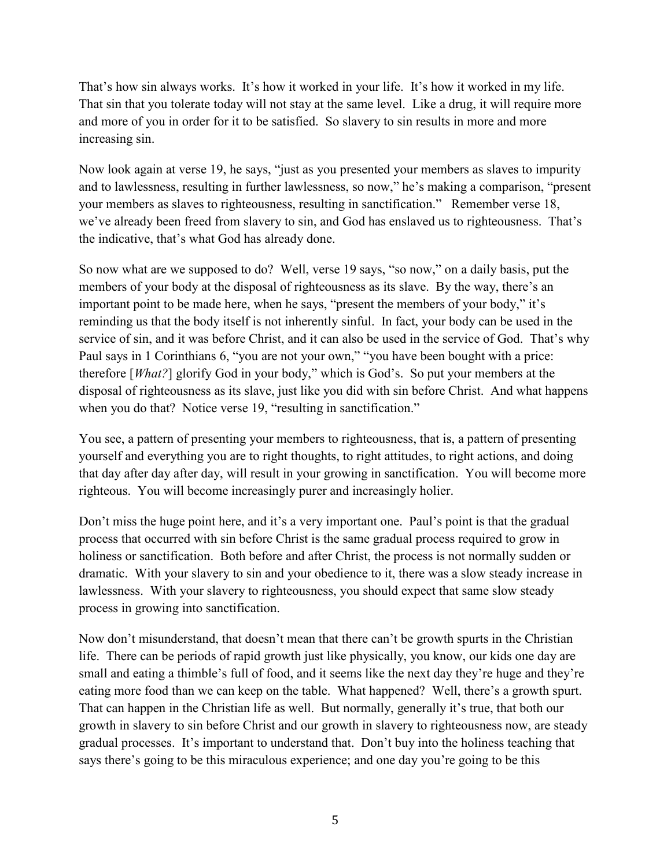That's how sin always works. It's how it worked in your life. It's how it worked in my life. That sin that you tolerate today will not stay at the same level. Like a drug, it will require more and more of you in order for it to be satisfied. So slavery to sin results in more and more increasing sin.

Now look again at verse 19, he says, "just as you presented your members as slaves to impurity and to lawlessness, resulting in further lawlessness, so now," he's making a comparison, "present your members as slaves to righteousness, resulting in sanctification." Remember verse 18, we've already been freed from slavery to sin, and God has enslaved us to righteousness. That's the indicative, that's what God has already done.

So now what are we supposed to do? Well, verse 19 says, "so now," on a daily basis, put the members of your body at the disposal of righteousness as its slave. By the way, there's an important point to be made here, when he says, "present the members of your body," it's reminding us that the body itself is not inherently sinful. In fact, your body can be used in the service of sin, and it was before Christ, and it can also be used in the service of God. That's why Paul says in 1 Corinthians 6, "you are not your own," "you have been bought with a price: therefore [*What?*] glorify God in your body," which is God's. So put your members at the disposal of righteousness as its slave, just like you did with sin before Christ. And what happens when you do that? Notice verse 19, "resulting in sanctification."

You see, a pattern of presenting your members to righteousness, that is, a pattern of presenting yourself and everything you are to right thoughts, to right attitudes, to right actions, and doing that day after day after day, will result in your growing in sanctification. You will become more righteous. You will become increasingly purer and increasingly holier.

Don't miss the huge point here, and it's a very important one. Paul's point is that the gradual process that occurred with sin before Christ is the same gradual process required to grow in holiness or sanctification. Both before and after Christ, the process is not normally sudden or dramatic. With your slavery to sin and your obedience to it, there was a slow steady increase in lawlessness. With your slavery to righteousness, you should expect that same slow steady process in growing into sanctification.

Now don't misunderstand, that doesn't mean that there can't be growth spurts in the Christian life. There can be periods of rapid growth just like physically, you know, our kids one day are small and eating a thimble's full of food, and it seems like the next day they're huge and they're eating more food than we can keep on the table. What happened? Well, there's a growth spurt. That can happen in the Christian life as well. But normally, generally it's true, that both our growth in slavery to sin before Christ and our growth in slavery to righteousness now, are steady gradual processes. It's important to understand that. Don't buy into the holiness teaching that says there's going to be this miraculous experience; and one day you're going to be this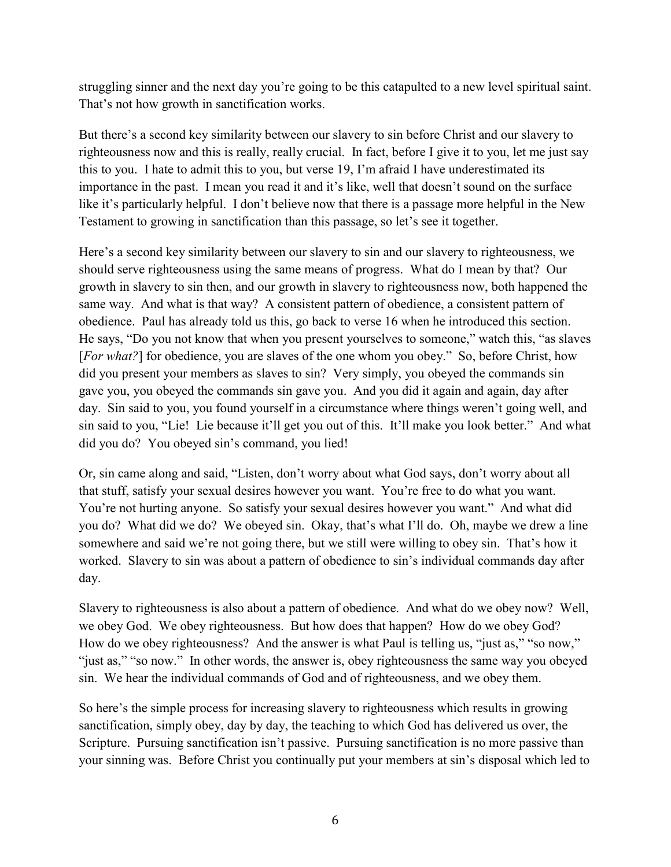struggling sinner and the next day you're going to be this catapulted to a new level spiritual saint. That's not how growth in sanctification works.

But there's a second key similarity between our slavery to sin before Christ and our slavery to righteousness now and this is really, really crucial. In fact, before I give it to you, let me just say this to you. I hate to admit this to you, but verse 19, I'm afraid I have underestimated its importance in the past. I mean you read it and it's like, well that doesn't sound on the surface like it's particularly helpful. I don't believe now that there is a passage more helpful in the New Testament to growing in sanctification than this passage, so let's see it together.

Here's a second key similarity between our slavery to sin and our slavery to righteousness, we should serve righteousness using the same means of progress. What do I mean by that? Our growth in slavery to sin then, and our growth in slavery to righteousness now, both happened the same way. And what is that way? A consistent pattern of obedience, a consistent pattern of obedience. Paul has already told us this, go back to verse 16 when he introduced this section. He says, "Do you not know that when you present yourselves to someone," watch this, "as slaves [For what?] for obedience, you are slaves of the one whom you obey." So, before Christ, how did you present your members as slaves to sin? Very simply, you obeyed the commands sin gave you, you obeyed the commands sin gave you. And you did it again and again, day after day. Sin said to you, you found yourself in a circumstance where things weren't going well, and sin said to you, "Lie! Lie because it'll get you out of this. It'll make you look better." And what did you do? You obeyed sin's command, you lied!

Or, sin came along and said, "Listen, don't worry about what God says, don't worry about all that stuff, satisfy your sexual desires however you want. You're free to do what you want. You're not hurting anyone. So satisfy your sexual desires however you want." And what did you do? What did we do? We obeyed sin. Okay, that's what I'll do. Oh, maybe we drew a line somewhere and said we're not going there, but we still were willing to obey sin. That's how it worked. Slavery to sin was about a pattern of obedience to sin's individual commands day after day.

Slavery to righteousness is also about a pattern of obedience. And what do we obey now? Well, we obey God. We obey righteousness. But how does that happen? How do we obey God? How do we obey righteousness? And the answer is what Paul is telling us, "just as," "so now," "just as," "so now." In other words, the answer is, obey righteousness the same way you obeyed sin. We hear the individual commands of God and of righteousness, and we obey them.

So here's the simple process for increasing slavery to righteousness which results in growing sanctification, simply obey, day by day, the teaching to which God has delivered us over, the Scripture. Pursuing sanctification isn't passive. Pursuing sanctification is no more passive than your sinning was. Before Christ you continually put your members at sin's disposal which led to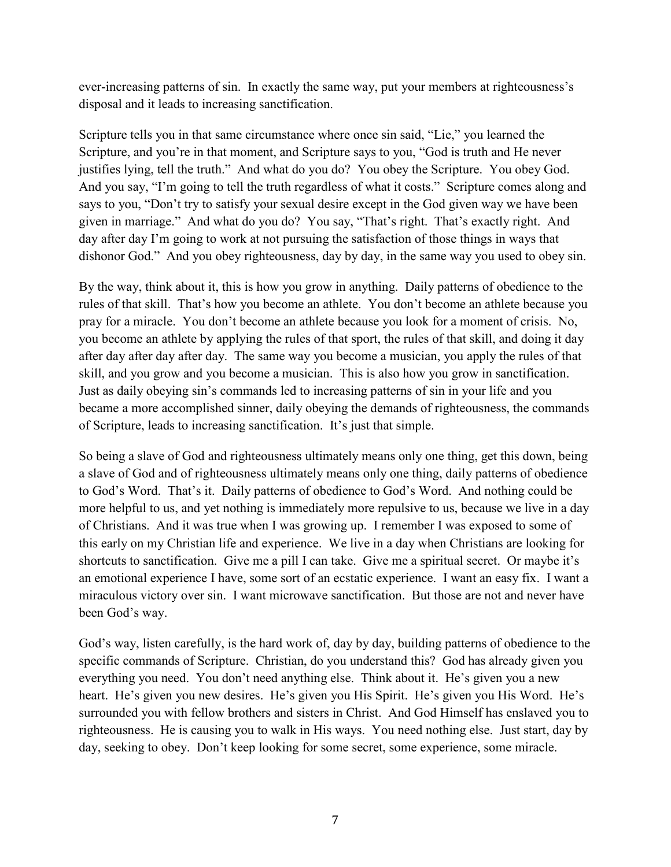ever-increasing patterns of sin. In exactly the same way, put your members at righteousness's disposal and it leads to increasing sanctification.

Scripture tells you in that same circumstance where once sin said, "Lie," you learned the Scripture, and you're in that moment, and Scripture says to you, "God is truth and He never justifies lying, tell the truth." And what do you do? You obey the Scripture. You obey God. And you say, "I'm going to tell the truth regardless of what it costs." Scripture comes along and says to you, "Don't try to satisfy your sexual desire except in the God given way we have been given in marriage." And what do you do? You say, "That's right. That's exactly right. And day after day I'm going to work at not pursuing the satisfaction of those things in ways that dishonor God." And you obey righteousness, day by day, in the same way you used to obey sin.

By the way, think about it, this is how you grow in anything. Daily patterns of obedience to the rules of that skill. That's how you become an athlete. You don't become an athlete because you pray for a miracle. You don't become an athlete because you look for a moment of crisis. No, you become an athlete by applying the rules of that sport, the rules of that skill, and doing it day after day after day after day. The same way you become a musician, you apply the rules of that skill, and you grow and you become a musician. This is also how you grow in sanctification. Just as daily obeying sin's commands led to increasing patterns of sin in your life and you became a more accomplished sinner, daily obeying the demands of righteousness, the commands of Scripture, leads to increasing sanctification. It's just that simple.

So being a slave of God and righteousness ultimately means only one thing, get this down, being a slave of God and of righteousness ultimately means only one thing, daily patterns of obedience to God's Word. That's it. Daily patterns of obedience to God's Word. And nothing could be more helpful to us, and yet nothing is immediately more repulsive to us, because we live in a day of Christians. And it was true when I was growing up. I remember I was exposed to some of this early on my Christian life and experience. We live in a day when Christians are looking for shortcuts to sanctification. Give me a pill I can take. Give me a spiritual secret. Or maybe it's an emotional experience I have, some sort of an ecstatic experience. I want an easy fix. I want a miraculous victory over sin. I want microwave sanctification. But those are not and never have been God's way.

God's way, listen carefully, is the hard work of, day by day, building patterns of obedience to the specific commands of Scripture. Christian, do you understand this? God has already given you everything you need. You don't need anything else. Think about it. He's given you a new heart. He's given you new desires. He's given you His Spirit. He's given you His Word. He's surrounded you with fellow brothers and sisters in Christ. And God Himself has enslaved you to righteousness. He is causing you to walk in His ways. You need nothing else. Just start, day by day, seeking to obey. Don't keep looking for some secret, some experience, some miracle.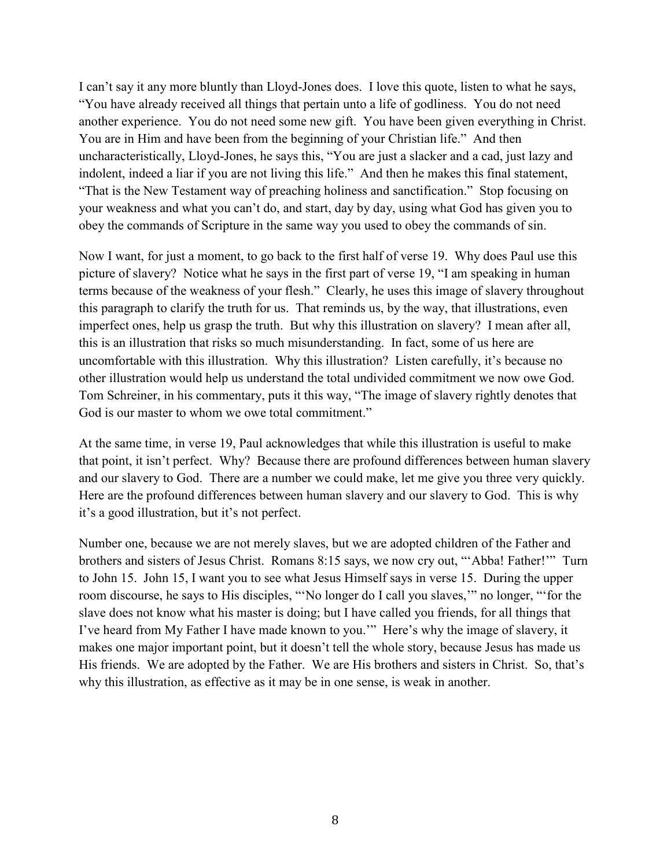I can't say it any more bluntly than Lloyd-Jones does. I love this quote, listen to what he says, "You have already received all things that pertain unto a life of godliness. You do not need another experience. You do not need some new gift. You have been given everything in Christ. You are in Him and have been from the beginning of your Christian life." And then uncharacteristically, Lloyd-Jones, he says this, "You are just a slacker and a cad, just lazy and indolent, indeed a liar if you are not living this life." And then he makes this final statement, "That is the New Testament way of preaching holiness and sanctification." Stop focusing on your weakness and what you can't do, and start, day by day, using what God has given you to obey the commands of Scripture in the same way you used to obey the commands of sin.

Now I want, for just a moment, to go back to the first half of verse 19. Why does Paul use this picture of slavery? Notice what he says in the first part of verse 19, "I am speaking in human terms because of the weakness of your flesh." Clearly, he uses this image of slavery throughout this paragraph to clarify the truth for us. That reminds us, by the way, that illustrations, even imperfect ones, help us grasp the truth. But why this illustration on slavery? I mean after all, this is an illustration that risks so much misunderstanding. In fact, some of us here are uncomfortable with this illustration. Why this illustration? Listen carefully, it's because no other illustration would help us understand the total undivided commitment we now owe God. Tom Schreiner, in his commentary, puts it this way, "The image of slavery rightly denotes that God is our master to whom we owe total commitment."

At the same time, in verse 19, Paul acknowledges that while this illustration is useful to make that point, it isn't perfect. Why? Because there are profound differences between human slavery and our slavery to God. There are a number we could make, let me give you three very quickly. Here are the profound differences between human slavery and our slavery to God. This is why it's a good illustration, but it's not perfect.

Number one, because we are not merely slaves, but we are adopted children of the Father and brothers and sisters of Jesus Christ. Romans 8:15 says, we now cry out, "'Abba! Father!'" Turn to John 15. John 15, I want you to see what Jesus Himself says in verse 15. During the upper room discourse, he says to His disciples, "'No longer do I call you slaves,'" no longer, "'for the slave does not know what his master is doing; but I have called you friends, for all things that I've heard from My Father I have made known to you.'" Here's why the image of slavery, it makes one major important point, but it doesn't tell the whole story, because Jesus has made us His friends. We are adopted by the Father. We are His brothers and sisters in Christ. So, that's why this illustration, as effective as it may be in one sense, is weak in another.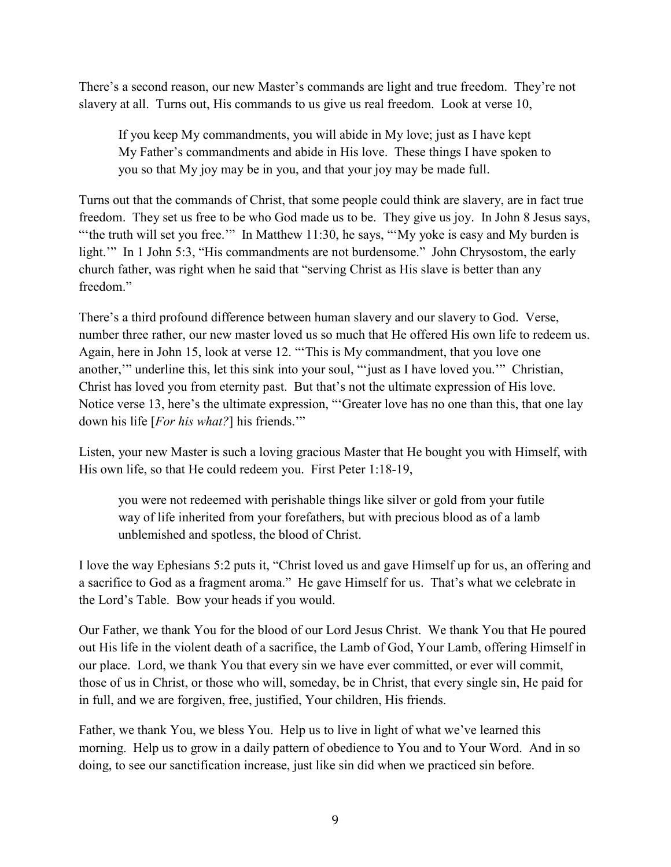There's a second reason, our new Master's commands are light and true freedom. They're not slavery at all. Turns out, His commands to us give us real freedom. Look at verse 10,

If you keep My commandments, you will abide in My love; just as I have kept My Father's commandments and abide in His love. These things I have spoken to you so that My joy may be in you, and that your joy may be made full.

Turns out that the commands of Christ, that some people could think are slavery, are in fact true freedom. They set us free to be who God made us to be. They give us joy. In John 8 Jesus says, "the truth will set you free."" In Matthew 11:30, he says, "'My yoke is easy and My burden is light." In 1 John 5:3, "His commandments are not burdensome." John Chrysostom, the early church father, was right when he said that "serving Christ as His slave is better than any freedom."

There's a third profound difference between human slavery and our slavery to God. Verse, number three rather, our new master loved us so much that He offered His own life to redeem us. Again, here in John 15, look at verse 12. "'This is My commandment, that you love one another,'" underline this, let this sink into your soul, "'just as I have loved you.'" Christian, Christ has loved you from eternity past. But that's not the ultimate expression of His love. Notice verse 13, here's the ultimate expression, "'Greater love has no one than this, that one lay down his life [*For his what?*] his friends.'"

Listen, your new Master is such a loving gracious Master that He bought you with Himself, with His own life, so that He could redeem you. First Peter 1:18-19,

you were not redeemed with perishable things like silver or gold from your futile way of life inherited from your forefathers, but with precious blood as of a lamb unblemished and spotless, the blood of Christ.

I love the way Ephesians 5:2 puts it, "Christ loved us and gave Himself up for us, an offering and a sacrifice to God as a fragment aroma." He gave Himself for us. That's what we celebrate in the Lord's Table. Bow your heads if you would.

Our Father, we thank You for the blood of our Lord Jesus Christ. We thank You that He poured out His life in the violent death of a sacrifice, the Lamb of God, Your Lamb, offering Himself in our place. Lord, we thank You that every sin we have ever committed, or ever will commit, those of us in Christ, or those who will, someday, be in Christ, that every single sin, He paid for in full, and we are forgiven, free, justified, Your children, His friends.

Father, we thank You, we bless You. Help us to live in light of what we've learned this morning. Help us to grow in a daily pattern of obedience to You and to Your Word. And in so doing, to see our sanctification increase, just like sin did when we practiced sin before.